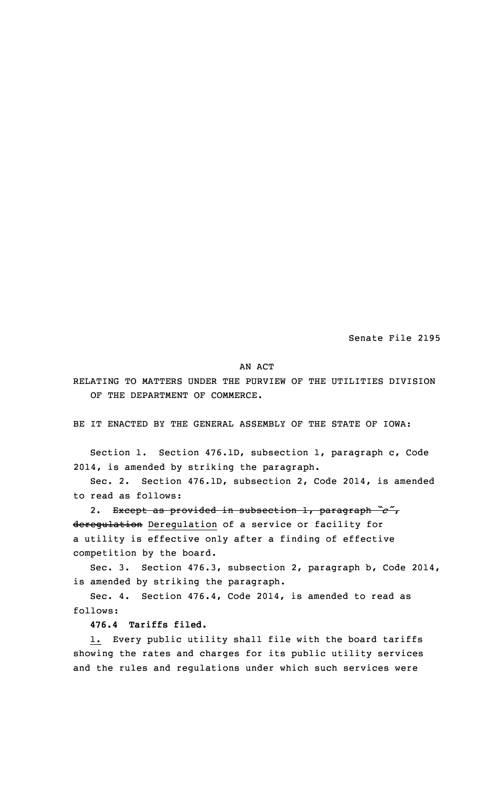Senate File 2195

#### AN ACT

RELATING TO MATTERS UNDER THE PURVIEW OF THE UTILITIES DIVISION OF THE DEPARTMENT OF COMMERCE.

BE IT ENACTED BY THE GENERAL ASSEMBLY OF THE STATE OF IOWA:

Section 1. Section 476.1D, subsection 1, paragraph c, Code 2014, is amended by striking the paragraph.

Sec. 2. Section 476.1D, subsection 2, Code 2014, is amended to read as follows:

2. Except as provided in subsection 1, paragraph *"c"*, deregulation Deregulation of <sup>a</sup> service or facility for <sup>a</sup> utility is effective only after <sup>a</sup> finding of effective competition by the board.

Sec. 3. Section 476.3, subsection 2, paragraph b, Code 2014, is amended by striking the paragraph.

Sec. 4. Section 476.4, Code 2014, is amended to read as follows:

**476.4 Tariffs filed.**

1. Every public utility shall file with the board tariffs showing the rates and charges for its public utility services and the rules and regulations under which such services were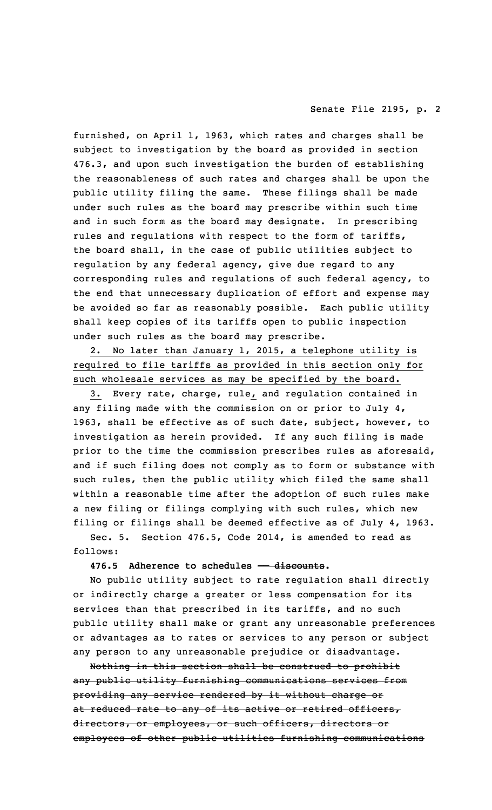furnished, on April 1, 1963, which rates and charges shall be subject to investigation by the board as provided in section 476.3, and upon such investigation the burden of establishing the reasonableness of such rates and charges shall be upon the public utility filing the same. These filings shall be made under such rules as the board may prescribe within such time and in such form as the board may designate. In prescribing rules and regulations with respect to the form of tariffs, the board shall, in the case of public utilities subject to regulation by any federal agency, give due regard to any corresponding rules and regulations of such federal agency, to the end that unnecessary duplication of effort and expense may be avoided so far as reasonably possible. Each public utility shall keep copies of its tariffs open to public inspection under such rules as the board may prescribe.

2. No later than January 1, 2015, <sup>a</sup> telephone utility is required to file tariffs as provided in this section only for such wholesale services as may be specified by the board.

3. Every rate, charge, rule, and regulation contained in any filing made with the commission on or prior to July 4, 1963, shall be effective as of such date, subject, however, to investigation as herein provided. If any such filing is made prior to the time the commission prescribes rules as aforesaid, and if such filing does not comply as to form or substance with such rules, then the public utility which filed the same shall within <sup>a</sup> reasonable time after the adoption of such rules make <sup>a</sup> new filing or filings complying with such rules, which new filing or filings shall be deemed effective as of July 4, 1963.

Sec. 5. Section 476.5, Code 2014, is amended to read as follows:

# **476.5 Adherence to schedules —— discounts.**

No public utility subject to rate regulation shall directly or indirectly charge <sup>a</sup> greater or less compensation for its services than that prescribed in its tariffs, and no such public utility shall make or grant any unreasonable preferences or advantages as to rates or services to any person or subject any person to any unreasonable prejudice or disadvantage.

Nothing in this section shall be construed to prohibit any public utility furnishing communications services from providing any service rendered by it without charge or at reduced rate to any of its active or retired officers, directors, or employees, or such officers, directors or employees of other public utilities furnishing communications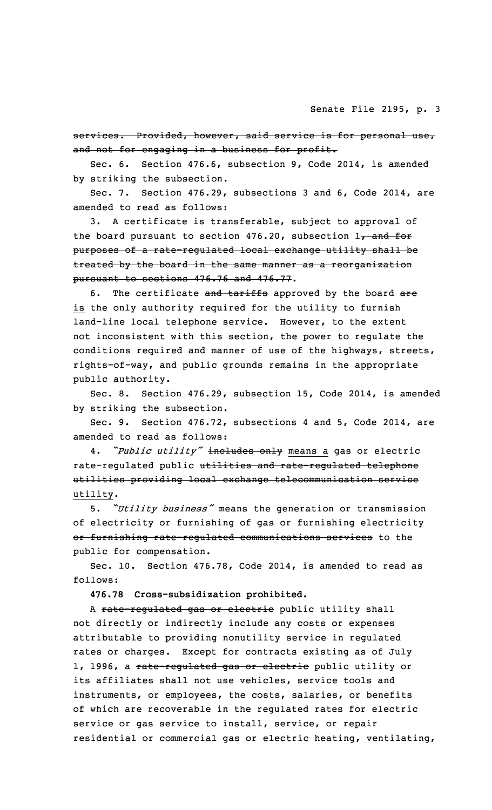services. Provided, however, said service is for personal use, and not for engaging in a business for profit.

Sec. 6. Section 476.6, subsection 9, Code 2014, is amended by striking the subsection.

Sec. 7. Section 476.29, subsections 3 and 6, Code 2014, are amended to read as follows:

3. <sup>A</sup> certificate is transferable, subject to approval of the board pursuant to section  $476.20$ , subsection  $17$  and for purposes of <sup>a</sup> rate-regulated local exchange utility shall be treated by the board in the same manner as <sup>a</sup> reorganization pursuant to sections 476.76 and 476.77.

6. The certificate and tariffs approved by the board are is the only authority required for the utility to furnish land-line local telephone service. However, to the extent not inconsistent with this section, the power to regulate the conditions required and manner of use of the highways, streets, rights-of-way, and public grounds remains in the appropriate public authority.

Sec. 8. Section 476.29, subsection 15, Code 2014, is amended by striking the subsection.

Sec. 9. Section 476.72, subsections 4 and 5, Code 2014, are amended to read as follows:

4. *"Public utility"* includes only means <sup>a</sup> gas or electric rate-regulated public utilities and rate-regulated telephone utilities providing local exchange telecommunication service utility.

5. *"Utility business"* means the generation or transmission of electricity or furnishing of gas or furnishing electricity or furnishing rate-regulated communications services to the public for compensation.

Sec. 10. Section 476.78, Code 2014, is amended to read as follows:

**476.78 Cross-subsidization prohibited.**

A rate-regulated gas or electric public utility shall not directly or indirectly include any costs or expenses attributable to providing nonutility service in regulated rates or charges. Except for contracts existing as of July 1, 1996, a rate-regulated gas or electric public utility or its affiliates shall not use vehicles, service tools and instruments, or employees, the costs, salaries, or benefits of which are recoverable in the regulated rates for electric service or gas service to install, service, or repair residential or commercial gas or electric heating, ventilating,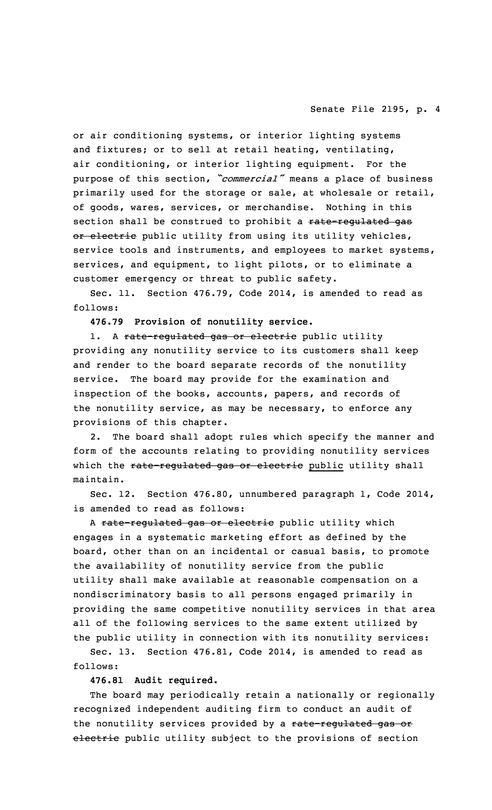or air conditioning systems, or interior lighting systems and fixtures; or to sell at retail heating, ventilating, air conditioning, or interior lighting equipment. For the purpose of this section, *"commercial"* means <sup>a</sup> place of business primarily used for the storage or sale, at wholesale or retail, of goods, wares, services, or merchandise. Nothing in this section shall be construed to prohibit a rate-regulated gas or electric public utility from using its utility vehicles, service tools and instruments, and employees to market systems, services, and equipment, to light pilots, or to eliminate <sup>a</sup> customer emergency or threat to public safety.

Sec. 11. Section 476.79, Code 2014, is amended to read as follows:

**476.79 Provision of nonutility service.**

1. A rate-regulated gas or electric public utility providing any nonutility service to its customers shall keep and render to the board separate records of the nonutility service. The board may provide for the examination and inspection of the books, accounts, papers, and records of the nonutility service, as may be necessary, to enforce any provisions of this chapter.

2. The board shall adopt rules which specify the manner and form of the accounts relating to providing nonutility services which the rate-regulated gas or electric public utility shall maintain.

Sec. 12. Section 476.80, unnumbered paragraph 1, Code 2014, is amended to read as follows:

A rate-regulated gas or electric public utility which engages in <sup>a</sup> systematic marketing effort as defined by the board, other than on an incidental or casual basis, to promote the availability of nonutility service from the public utility shall make available at reasonable compensation on <sup>a</sup> nondiscriminatory basis to all persons engaged primarily in providing the same competitive nonutility services in that area all of the following services to the same extent utilized by the public utility in connection with its nonutility services:

Sec. 13. Section 476.81, Code 2014, is amended to read as follows:

**476.81 Audit required.**

The board may periodically retain <sup>a</sup> nationally or regionally recognized independent auditing firm to conduct an audit of the nonutility services provided by a rate-regulated gas or electric public utility subject to the provisions of section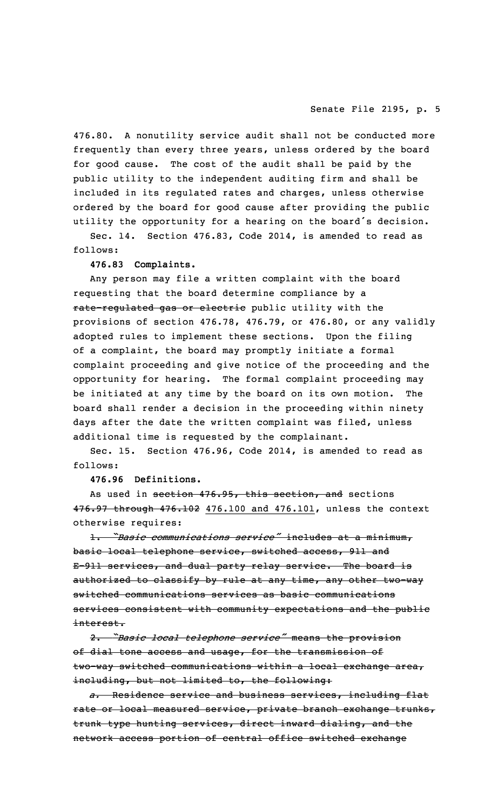476.80. <sup>A</sup> nonutility service audit shall not be conducted more frequently than every three years, unless ordered by the board for good cause. The cost of the audit shall be paid by the public utility to the independent auditing firm and shall be included in its regulated rates and charges, unless otherwise ordered by the board for good cause after providing the public utility the opportunity for <sup>a</sup> hearing on the board's decision.

Sec. 14. Section 476.83, Code 2014, is amended to read as follows:

### **476.83 Complaints.**

Any person may file <sup>a</sup> written complaint with the board requesting that the board determine compliance by <sup>a</sup> rate-regulated gas or electric public utility with the provisions of section 476.78, 476.79, or 476.80, or any validly adopted rules to implement these sections. Upon the filing of <sup>a</sup> complaint, the board may promptly initiate <sup>a</sup> formal complaint proceeding and give notice of the proceeding and the opportunity for hearing. The formal complaint proceeding may be initiated at any time by the board on its own motion. The board shall render <sup>a</sup> decision in the proceeding within ninety days after the date the written complaint was filed, unless additional time is requested by the complainant.

Sec. 15. Section 476.96, Code 2014, is amended to read as follows:

**476.96 Definitions.**

As used in section 476.95, this section, and sections 476.97 through 476.102 476.100 and 476.101, unless the context otherwise requires:

1. *"Basic communications service"* includes at <sup>a</sup> minimum, basic local telephone service, switched access, 911 and E-911 services, and dual party relay service. The board is authorized to classify by rule at any time, any other two-way switched communications services as basic communications services consistent with community expectations and the public interest.

2. *"Basic local telephone service"* means the provision of dial tone access and usage, for the transmission of two-way switched communications within <sup>a</sup> local exchange area, including, but not limited to, the following:

*a.* Residence service and business services, including flat rate or local measured service, private branch exchange trunks, trunk type hunting services, direct inward dialing, and the network access portion of central office switched exchange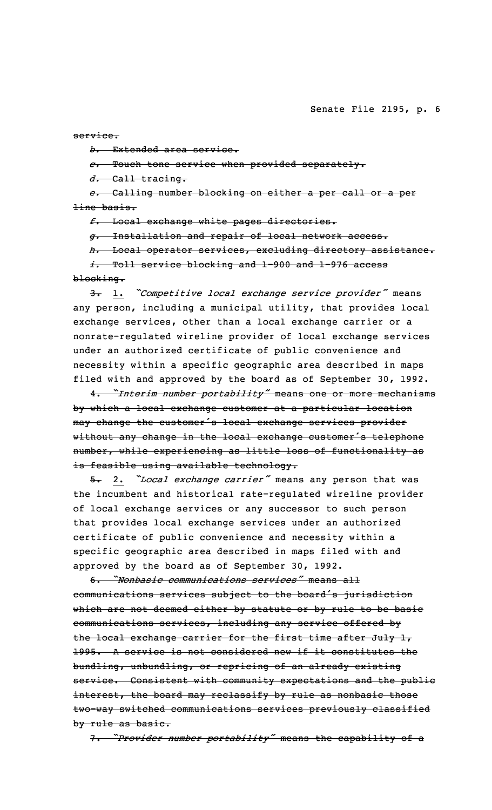service.

*b.* Extended area service.

*c.* Touch tone service when provided separately.

*d.* Call tracing.

*e.* Calling number blocking on either <sup>a</sup> per call or <sup>a</sup> per line basis.

*f.* Local exchange white pages directories.

*g.* Installation and repair of local network access.

*h.* Local operator services, excluding directory assistance. *i.* Toll service blocking and 1-900 and 1-976 access blocking.

3. 1. *"Competitive local exchange service provider"* means any person, including <sup>a</sup> municipal utility, that provides local exchange services, other than <sup>a</sup> local exchange carrier or <sup>a</sup> nonrate-regulated wireline provider of local exchange services under an authorized certificate of public convenience and necessity within <sup>a</sup> specific geographic area described in maps

4. *"Interim number portability"* means one or more mechanisms by which <sup>a</sup> local exchange customer at <sup>a</sup> particular location may change the customer's local exchange services provider without any change in the local exchange customer's telephone number, while experiencing as little loss of functionality as is feasible using available technology.

filed with and approved by the board as of September 30, 1992.

5. 2. *"Local exchange carrier"* means any person that was the incumbent and historical rate-regulated wireline provider of local exchange services or any successor to such person that provides local exchange services under an authorized certificate of public convenience and necessity within <sup>a</sup> specific geographic area described in maps filed with and approved by the board as of September 30, 1992.

6. *"Nonbasic communications services"* means all communications services subject to the board's jurisdiction which are not deemed either by statute or by rule to be basic communications services, including any service offered by the local exchange carrier for the first time after July 1, 1995. A service is not considered new if it constitutes the bundling, unbundling, or repricing of an already existing service. Consistent with community expectations and the public interest, the board may reclassify by rule as nonbasic those two-way switched communications services previously classified by rule as basic.

7. *"Provider number portability"* means the capability of <sup>a</sup>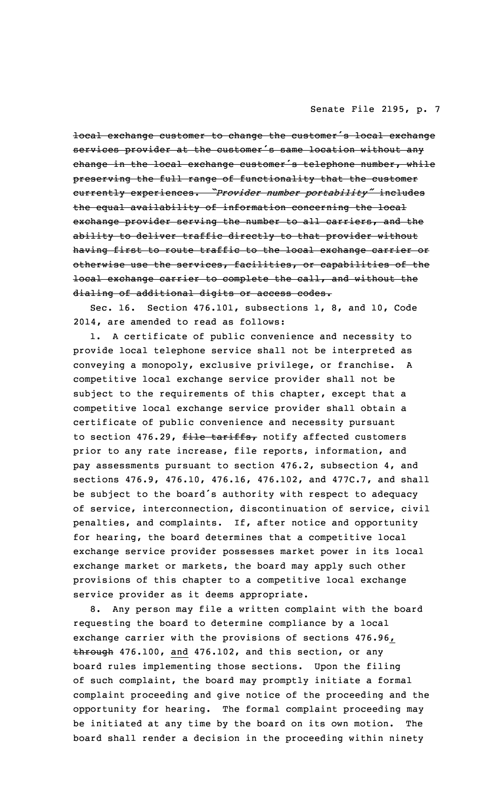local exchange customer to change the customer's local exchange services provider at the customer's same location without any change in the local exchange customer's telephone number, while preserving the full range of functionality that the customer currently experiences. *"Provider number portability"* includes the equal availability of information concerning the local exchange provider serving the number to all carriers, and the ability to deliver traffic directly to that provider without having first to route traffic to the local exchange carrier or otherwise use the services, facilities, or capabilities of the local exchange carrier to complete the call, and without the dialing of additional digits or access codes.

Sec. 16. Section 476.101, subsections 1, 8, and 10, Code 2014, are amended to read as follows:

1. <sup>A</sup> certificate of public convenience and necessity to provide local telephone service shall not be interpreted as conveying <sup>a</sup> monopoly, exclusive privilege, or franchise. <sup>A</sup> competitive local exchange service provider shall not be subject to the requirements of this chapter, except that <sup>a</sup> competitive local exchange service provider shall obtain <sup>a</sup> certificate of public convenience and necessity pursuant to section 476.29, file tariffs, notify affected customers prior to any rate increase, file reports, information, and pay assessments pursuant to section 476.2, subsection 4, and sections 476.9, 476.10, 476.16, 476.102, and 477C.7, and shall be subject to the board's authority with respect to adequacy of service, interconnection, discontinuation of service, civil penalties, and complaints. If, after notice and opportunity for hearing, the board determines that <sup>a</sup> competitive local exchange service provider possesses market power in its local exchange market or markets, the board may apply such other provisions of this chapter to <sup>a</sup> competitive local exchange service provider as it deems appropriate.

8. Any person may file <sup>a</sup> written complaint with the board requesting the board to determine compliance by <sup>a</sup> local exchange carrier with the provisions of sections 476.96, through 476.100, and 476.102, and this section, or any board rules implementing those sections. Upon the filing of such complaint, the board may promptly initiate <sup>a</sup> formal complaint proceeding and give notice of the proceeding and the opportunity for hearing. The formal complaint proceeding may be initiated at any time by the board on its own motion. The board shall render <sup>a</sup> decision in the proceeding within ninety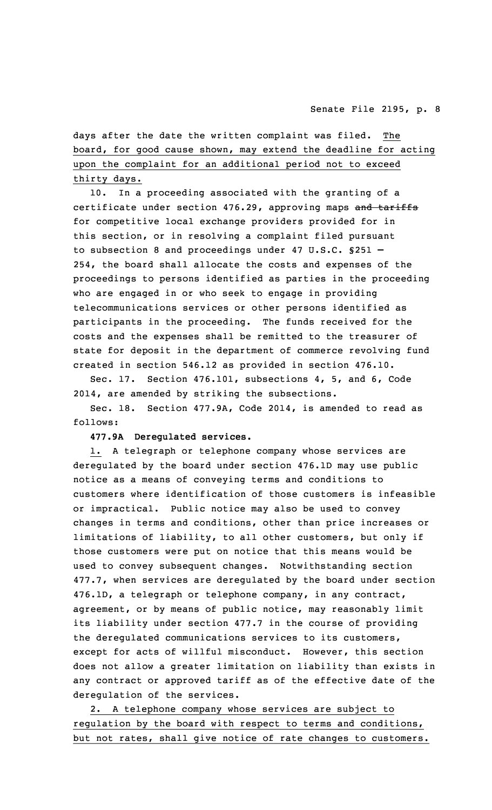days after the date the written complaint was filed. The board, for good cause shown, may extend the deadline for acting upon the complaint for an additional period not to exceed thirty days.

10. In <sup>a</sup> proceeding associated with the granting of <sup>a</sup> certificate under section 476.29, approving maps and tariffs for competitive local exchange providers provided for in this section, or in resolving <sup>a</sup> complaint filed pursuant to subsection 8 and proceedings under 47 U.S.C. §251 – 254, the board shall allocate the costs and expenses of the proceedings to persons identified as parties in the proceeding who are engaged in or who seek to engage in providing telecommunications services or other persons identified as participants in the proceeding. The funds received for the costs and the expenses shall be remitted to the treasurer of state for deposit in the department of commerce revolving fund created in section 546.12 as provided in section 476.10.

Sec. 17. Section 476.101, subsections 4, 5, and 6, Code 2014, are amended by striking the subsections.

Sec. 18. Section 477.9A, Code 2014, is amended to read as follows:

# **477.9A Deregulated services.**

1. <sup>A</sup> telegraph or telephone company whose services are deregulated by the board under section 476.1D may use public notice as <sup>a</sup> means of conveying terms and conditions to customers where identification of those customers is infeasible or impractical. Public notice may also be used to convey changes in terms and conditions, other than price increases or limitations of liability, to all other customers, but only if those customers were put on notice that this means would be used to convey subsequent changes. Notwithstanding section 477.7, when services are deregulated by the board under section 476.1D, <sup>a</sup> telegraph or telephone company, in any contract, agreement, or by means of public notice, may reasonably limit its liability under section 477.7 in the course of providing the deregulated communications services to its customers, except for acts of willful misconduct. However, this section does not allow <sup>a</sup> greater limitation on liability than exists in any contract or approved tariff as of the effective date of the deregulation of the services.

2. <sup>A</sup> telephone company whose services are subject to regulation by the board with respect to terms and conditions, but not rates, shall give notice of rate changes to customers.